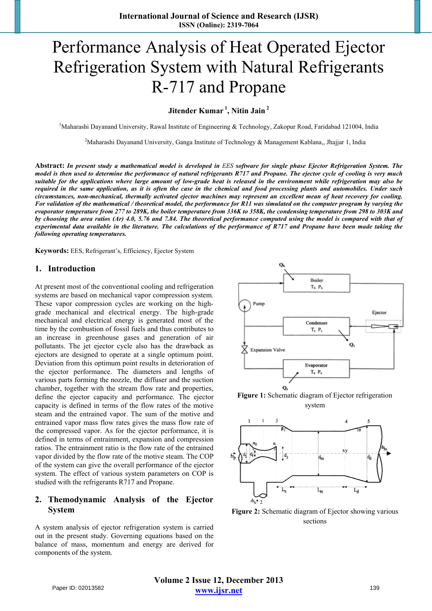# Performance Analysis of Heat Operated Ejector Refrigeration System with Natural Refrigerants R-717 and Propane

**Jitender Kumar 1, Nitin Jain 2**

<sup>1</sup>Maharashi Dayanand University, Rawal Institute of Engineering & Technology, Zakopur Road, Faridabad 121004, India

<sup>2</sup>Maharashi Dayanand University, Ganga Institute of Technology & Management Kablana,, Jhajjar 1, India

**Abstract:** *In present study a mathematical model is developed in EES software for single phase Ejector Refrigeration System. The model is then used to determine the performance of natural refrigerants R717 and Propane. The ejector cycle of cooling is very much suitable for the applications where large amount of low-grade heat is released in the environment while refrigeration may also be required in the same application, as it is often the case in the chemical and food processing plants and automobiles. Under such circumstances, non-mechanical, thermally activated ejector machines may represent an excellent mean of heat recovery for cooling. For validation of the mathematical / theoretical model, the performance for R11 was simulated on the computer program by varying the evaporator temperature from 277 to 289K, the boiler temperature from 336K to 358K, the condensing temperature from 298 to 303K and by choosing the area ratios (Ar) 4.0, 5.76 and 7.84. The theoretical performance computed using the model is compared with that of experimental data available in the literature. The calculations of the performance of R717 and Propane have been made taking the following operating temperatures.* 

**Keywords:** EES, Refrigerant's, Efficiency, Ejector System

#### **1. Introduction**

At present most of the conventional cooling and refrigeration systems are based on mechanical vapor compression system. These vapor compression cycles are working on the highgrade mechanical and electrical energy. The high-grade mechanical and electrical energy is generated most of the time by the combustion of fossil fuels and thus contributes to an increase in greenhouse gases and generation of air pollutants. The jet ejector cycle also has the drawback as ejectors are designed to operate at a single optimum point. Deviation from this optimum point results in deterioration of the ejector performance. The diameters and lengths of various parts forming the nozzle, the diffuser and the suction chamber, together with the stream flow rate and properties, define the ejector capacity and performance. The ejector capacity is defined in terms of the flow rates of the motive steam and the entrained vapor. The sum of the motive and entrained vapor mass flow rates gives the mass flow rate of the compressed vapor. As for the ejector performance, it is defined in terms of entrainment, expansion and compression ratios. The entrainment ratio is the flow rate of the entrained vapor divided by the flow rate of the motive steam. The COP of the system can give the overall performance of the ejector system. The effect of various system parameters on COP is studied with the refrigerants R717 and Propane.

## **2. Themodynamic Analysis of the Ejector System**

A system analysis of ejector refrigeration system is carried out in the present study. Governing equations based on the balance of mass, momentum and energy are derived for components of the system.



**Figure 1:** Schematic diagram of Ejector refrigeration system



**Figure 2:** Schematic diagram of Ejector showing various sections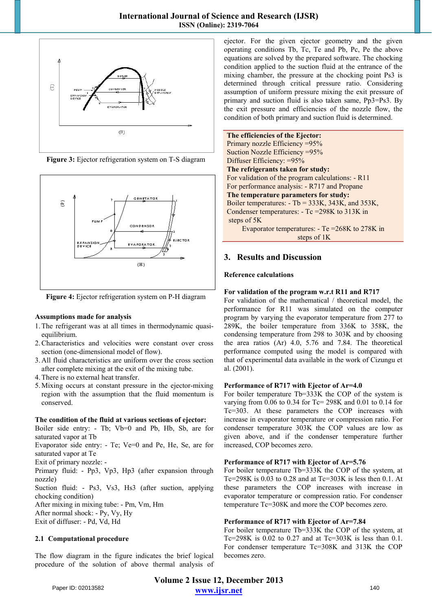





**Figure 4:** Ejector refrigeration system on P-H diagram

#### **Assumptions made for analysis**

- 1.The refrigerant was at all times in thermodynamic quasiequilibrium.
- 2.Characteristics and velocities were constant over cross section (one-dimensional model of flow).
- 3. All fluid characteristics are uniform over the cross section after complete mixing at the exit of the mixing tube.
- 4.There is no external heat transfer.
- 5.Mixing occurs at constant pressure in the ejector-mixing region with the assumption that the fluid momentum is conserved.

#### **The condition of the fluid at various sections of ejector:**

Boiler side entry: - Tb; Vb=0 and Pb, Hb, Sb, are for saturated vapor at Tb Evaporator side entry: - Te; Ve=0 and Pe, He, Se, are for saturated vapor at Te Exit of primary nozzle: - Primary fluid: - Pp3, Vp3, Hp3 (after expansion through nozzle) Suction fluid: - Ps3, Vs3, Hs3 (after suction, applying chocking condition) After mixing in mixing tube: - Pm, Vm, Hm After normal shock: - Py, Vy, Hy Exit of diffuser: - Pd, Vd, Hd

#### **2.1 Computational procedure**

The flow diagram in the figure indicates the brief logical procedure of the solution of above thermal analysis of ejector. For the given ejector geometry and the given operating conditions Tb, Tc, Te and Pb, Pc, Pe the above equations are solved by the prepared software. The chocking condition applied to the suction fluid at the entrance of the mixing chamber, the pressure at the chocking point Ps3 is determined through critical pressure ratio. Considering assumption of uniform pressure mixing the exit pressure of primary and suction fluid is also taken same, Pp3=Ps3. By the exit pressure and efficiencies of the nozzle flow, the condition of both primary and suction fluid is determined.

**The efficiencies of the Ejector:** 

Primary nozzle Efficiency =95% Suction Nozzle Efficiency =95% Diffuser Efficiency: =95% **The refrigerants taken for study:**  For validation of the program calculations: - R11 For performance analysis: - R717 and Propane **The temperature parameters for study:**  Boiler temperatures: - Tb = 333K, 343K, and 353K, Condenser temperatures: - Tc =298K to 313K in steps of 5K Evaporator temperatures: - Te =268K to 278K in steps of 1K

# **3. Results and Discussion**

#### **Reference calculations**

#### **For validation of the program w.r.t R11 and R717**

For validation of the mathematical / theoretical model, the performance for R11 was simulated on the computer program by varying the evaporator temperature from 277 to 289K, the boiler temperature from 336K to 358K, the condensing temperature from 298 to 303K and by choosing the area ratios (Ar) 4.0, 5.76 and 7.84. The theoretical performance computed using the model is compared with that of experimental data available in the work of Cizungu et al. (2001).

#### **Performance of R717 with Ejector of Ar=4.0**

For boiler temperature Tb=333K the COP of the system is varying from  $0.06$  to  $0.34$  for Tc= 298K and  $0.01$  to  $0.14$  for Tc=303. At these parameters the COP increases with increase in evaporator temperature or compression ratio. For condenser temperature 303K the COP values are low as given above, and if the condenser temperature further increased, COP becomes zero.

#### **Performance of R717 with Ejector of Ar=5.76**

For boiler temperature Tb=333K the COP of the system, at Tc=298K is  $0.03$  to  $0.28$  and at Tc=303K is less then 0.1. At these parameters the COP increases with increase in evaporator temperature or compression ratio. For condenser temperature Tc=308K and more the COP becomes zero.

#### **Performance of R717 with Ejector of Ar=7.84**

For boiler temperature Tb=333K the COP of the system, at Tc=298K is  $0.02$  to  $0.27$  and at Tc=303K is less than  $0.1$ . For condenser temperature Tc=308K and 313K the COP becomes zero.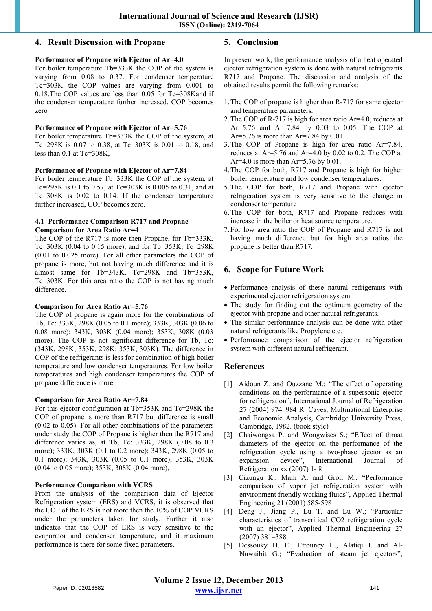## **4. Result Discussion with Propane**

#### **Performance of Propane with Ejector of Ar=4.0**

For boiler temperature Tb=333K the COP of the system is varying from 0.08 to 0.37. For condenser temperature Tc=303K the COP values are varying from 0.001 to 0.18.The COP values are less than 0.05 for Tc=308Kand if the condenser temperature further increased, COP becomes zero

#### **Performance of Propane with Ejector of Ar=5.76**

For boiler temperature Tb=333K the COP of the system, at Tc=298K is 0.07 to 0.38, at Tc=303K is 0.01 to 0.18, and less than 0.1 at Tc=308K,

#### **Performance of Propane with Ejector of Ar=7.84**

For boiler temperature Tb=333K the COP of the system, at Tc=298K is 0.1 to 0.57, at Tc=303K is 0.005 to 0.31, and at Tc=308K is 0.02 to 0.14. If the condenser temperature further increased, COP becomes zero.

#### **4.1 Performance Comparison R717 and Propane Comparison for Area Ratio Ar=4**

The COP of the R717 is more then Propane, for Tb=333K, Tc=303K (0.04 to 0.15 more), and for Tb=353K, Tc=298K (0.01 to 0.025 more). For all other parameters the COP of propane is more, but not having much difference and it is almost same for Tb=343K, Tc=298K and Tb=353K, Tc=303K. For this area ratio the COP is not having much difference.

#### **Comparison for Area Ratio Ar=5.76**

The COP of propane is again more for the combinations of Tb, Tc: 333K, 298K (0.05 to 0.1 more); 333K, 303K (0.06 to 0.08 more); 343K, 303K (0.04 more); 353K, 308K (0.03 more). The COP is not significant difference for Tb, Tc: (343K, 298K; 353K, 298K; 353K, 303K). The difference in COP of the refrigerants is less for combination of high boiler temperature and low condenser temperatures. For low boiler temperatures and high condenser temperatures the COP of propane difference is more.

#### **Comparison for Area Ratio Ar=7.84**

For this ejector configuration at Tb=353K and Tc=298K the COP of propane is more than R717 but difference is small (0.02 to 0.05). For all other combinations of the parameters under study the COP of Propane is higher then the R717 and difference varies as, at Tb, Tc: 333K, 298K (0.08 to 0.3 more); 333K, 303K (0.1 to 0.2 more); 343K, 298K (0.05 to 0.1 more); 343K, 303K (0.05 to 0.1 more); 353K, 303K (0.04 to 0.05 more); 353K, 308K (0.04 more),

#### **Performance Comparison with VCRS**

From the analysis of the comparison data of Ejector Refrigeration system (ERS) and VCRS, it is observed that the COP of the ERS is not more then the 10% of COP VCRS under the parameters taken for study. Further it also indicates that the COP of ERS is very sensitive to the evaporator and condenser temperature, and it maximum performance is there for some fixed parameters.

## **5. Conclusion**

In present work, the performance analysis of a heat operated ejector refrigeration system is done with natural refrigerants R717 and Propane. The discussion and analysis of the obtained results permit the following remarks:

- 1.The COP of propane is higher than R-717 for same ejector and temperature parameters.
- 2.The COP of R-717 is high for area ratio Ar=4.0, reduces at Ar=5.76 and Ar=7.84 by 0.03 to 0.05. The COP at Ar=5.76 is more than Ar=7.84 by 0.01.
- 3.The COP of Propane is high for area ratio Ar=7.84, reduces at Ar=5.76 and Ar=4.0 by 0.02 to 0.2. The COP at Ar=4.0 is more than Ar=5.76 by  $0.01$ .
- 4.The COP for both, R717 and Propane is high for higher boiler temperature and low condenser temperatures.
- 5.The COP for both, R717 and Propane with ejector refrigeration system is very sensitive to the change in condenser temperature
- 6.The COP for both, R717 and Propane reduces with increase in the boiler or heat source temperature.
- 7. For low area ratio the COP of Propane and R717 is not having much difference but for high area ratios the propane is better than R717.

# **6. Scope for Future Work**

- Performance analysis of these natural refrigerants with experimental ejector refrigeration system.
- The study for finding out the optimum geometry of the ejector with propane and other natural refrigerants.
- The similar performance analysis can be done with other natural refrigerants like Propylene etc.
- Performance comparison of the ejector refrigeration system with different natural refrigerant.

## **References**

- [1] Aidoun Z. and Ouzzane M.; "The effect of operating conditions on the performance of a supersonic ejector for refrigeration", International Journal of Refrigeration 27 (2004) 974–984 R. Caves, Multinational Enterprise and Economic Analysis, Cambridge University Press, Cambridge, 1982. (book style)
- [2] Chaiwongsa P. and Wongwises S.; "Effect of throat diameters of the ejector on the performance of the refrigeration cycle using a two-phase ejector as an expansion device", International Journal of Refrigeration xx (2007) 1- 8
- [3] Cizungu K., Mani A. and Groll M., "Performance comparison of vapor jet refrigeration system with environment friendly working fluids", Applied Thermal Engineering 21 (2001) 585-598
- [4] Deng J., Jiang P., Lu T. and Lu W.; "Particular characteristics of transcritical CO2 refrigeration cycle with an ejector", Applied Thermal Engineering 27 (2007) 381–388
- [5] Dessouky H. E., Ettouney H., Alatiqi I. and Al-Nuwaibit G.; "Evaluation of steam jet ejectors",

**Volume 2 Issue 12, December 2013 www.ijsr.net** Paper ID: 02013582 141